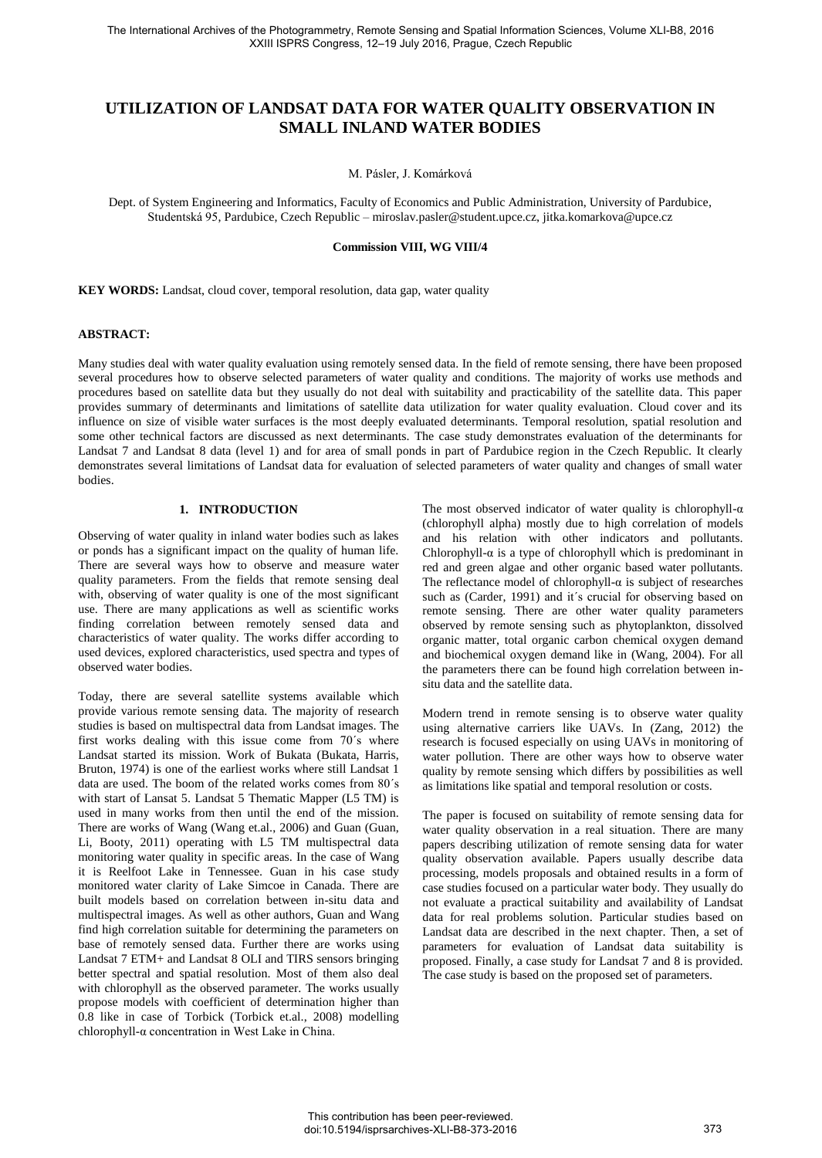# **UTILIZATION OF LANDSAT DATA FOR WATER QUALITY OBSERVATION IN SMALL INLAND WATER BODIES**

M. Pásler, J. Komárková

Dept. of System Engineering and Informatics, Faculty of Economics and Public Administration, University of Pardubice, Studentská 95, Pardubice, Czech Republic – miroslav.pasler@student.upce.cz[, jitka.k](mailto:idowman@ge.ucl.ac.uk)omarkova@upce.cz

**Commission VIII, WG VIII/4** 

**KEY WORDS:** Landsat, cloud cover, temporal resolution, data gap, water quality

# **ABSTRACT:**

Many studies deal with water quality evaluation using remotely sensed data. In the field of remote sensing, there have been proposed several procedures how to observe selected parameters of water quality and conditions. The majority of works use methods and procedures based on satellite data but they usually do not deal with suitability and practicability of the satellite data. This paper provides summary of determinants and limitations of satellite data utilization for water quality evaluation. Cloud cover and its influence on size of visible water surfaces is the most deeply evaluated determinants. Temporal resolution, spatial resolution and some other technical factors are discussed as next determinants. The case study demonstrates evaluation of the determinants for Landsat 7 and Landsat 8 data (level 1) and for area of small ponds in part of Pardubice region in the Czech Republic. It clearly demonstrates several limitations of Landsat data for evaluation of selected parameters of water quality and changes of small water bodies.

### **1. INTRODUCTION**

Observing of water quality in inland water bodies such as lakes or ponds has a significant impact on the quality of human life. There are several ways how to observe and measure water quality parameters. From the fields that remote sensing deal with, observing of water quality is one of the most significant use. There are many applications as well as scientific works finding correlation between remotely sensed data and characteristics of water quality. The works differ according to used devices, explored characteristics, used spectra and types of observed water bodies.

Today, there are several satellite systems available which provide various remote sensing data. The majority of research studies is based on multispectral data from Landsat images. The first works dealing with this issue come from 70´s where Landsat started its mission. Work of Bukata (Bukata, Harris, Bruton, 1974) is one of the earliest works where still Landsat 1 data are used. The boom of the related works comes from 80´s with start of Lansat 5. Landsat 5 Thematic Mapper (L5 TM) is used in many works from then until the end of the mission. There are works of Wang (Wang et.al., 2006) and Guan (Guan, Li, Booty, 2011) operating with L5 TM multispectral data monitoring water quality in specific areas. In the case of Wang it is Reelfoot Lake in Tennessee. Guan in his case study monitored water clarity of Lake Simcoe in Canada. There are built models based on correlation between in-situ data and multispectral images. As well as other authors, Guan and Wang find high correlation suitable for determining the parameters on base of remotely sensed data. Further there are works using Landsat 7 ETM+ and Landsat 8 OLI and TIRS sensors bringing better spectral and spatial resolution. Most of them also deal with chlorophyll as the observed parameter. The works usually propose models with coefficient of determination higher than 0.8 like in case of Torbick (Torbick et.al., 2008) modelling chlorophyll-α concentration in West Lake in China.

The most observed indicator of water quality is chlorophyll- $\alpha$ (chlorophyll alpha) mostly due to high correlation of models and his relation with other indicators and pollutants. Chlorophyll- $\alpha$  is a type of chlorophyll which is predominant in red and green algae and other organic based water pollutants. The reflectance model of chlorophyll- $\alpha$  is subject of researches such as (Carder, 1991) and it's crucial for observing based on remote sensing. There are other water quality parameters observed by remote sensing such as phytoplankton, dissolved organic matter, total organic carbon chemical oxygen demand and biochemical oxygen demand like in (Wang, 2004). For all the parameters there can be found high correlation between insitu data and the satellite data.

Modern trend in remote sensing is to observe water quality using alternative carriers like UAVs. In (Zang, 2012) the research is focused especially on using UAVs in monitoring of water pollution. There are other ways how to observe water quality by remote sensing which differs by possibilities as well as limitations like spatial and temporal resolution or costs.

The paper is focused on suitability of remote sensing data for water quality observation in a real situation. There are many papers describing utilization of remote sensing data for water quality observation available. Papers usually describe data processing, models proposals and obtained results in a form of case studies focused on a particular water body. They usually do not evaluate a practical suitability and availability of Landsat data for real problems solution. Particular studies based on Landsat data are described in the next chapter. Then, a set of parameters for evaluation of Landsat data suitability is proposed. Finally, a case study for Landsat 7 and 8 is provided. The case study is based on the proposed set of parameters.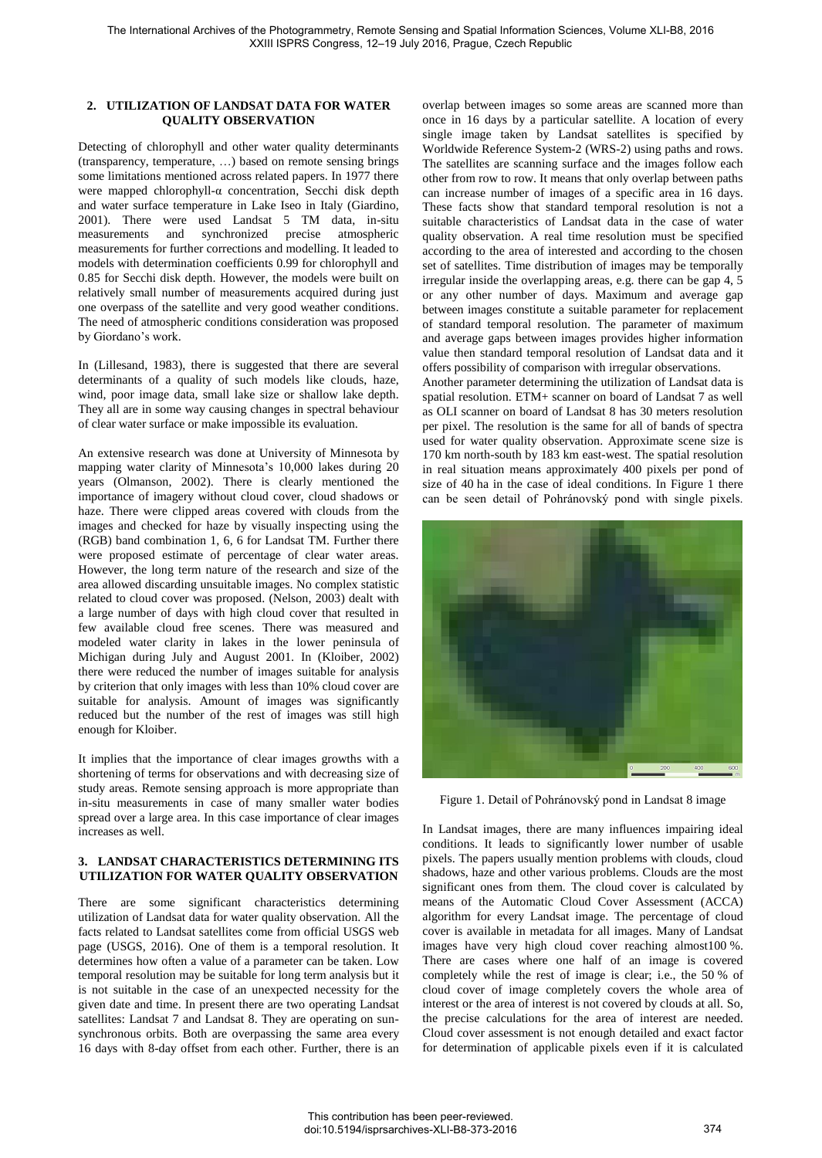### **2. UTILIZATION OF LANDSAT DATA FOR WATER QUALITY OBSERVATION**

Detecting of chlorophyll and other water quality determinants (transparency, temperature, …) based on remote sensing brings some limitations mentioned across related papers. In 1977 there were mapped chlorophyll-α concentration, Secchi disk depth and water surface temperature in Lake Iseo in Italy (Giardino, 2001). There were used Landsat 5 TM data, in-situ measurements and synchronized precise atmospheric measurements for further corrections and modelling. It leaded to models with determination coefficients 0.99 for chlorophyll and 0.85 for Secchi disk depth. However, the models were built on relatively small number of measurements acquired during just one overpass of the satellite and very good weather conditions. The need of atmospheric conditions consideration was proposed by Giordano's work.

In (Lillesand, 1983), there is suggested that there are several determinants of a quality of such models like clouds, haze, wind, poor image data, small lake size or shallow lake depth. They all are in some way causing changes in spectral behaviour of clear water surface or make impossible its evaluation.

An extensive research was done at University of Minnesota by mapping water clarity of Minnesota's 10,000 lakes during 20 years (Olmanson, 2002). There is clearly mentioned the importance of imagery without cloud cover, cloud shadows or haze. There were clipped areas covered with clouds from the images and checked for haze by visually inspecting using the (RGB) band combination 1, 6, 6 for Landsat TM. Further there were proposed estimate of percentage of clear water areas. However, the long term nature of the research and size of the area allowed discarding unsuitable images. No complex statistic related to cloud cover was proposed. (Nelson, 2003) dealt with a large number of days with high cloud cover that resulted in few available cloud free scenes. There was measured and modeled water clarity in lakes in the lower peninsula of Michigan during July and August 2001. In (Kloiber, 2002) there were reduced the number of images suitable for analysis by criterion that only images with less than 10% cloud cover are suitable for analysis. Amount of images was significantly reduced but the number of the rest of images was still high enough for Kloiber.

It implies that the importance of clear images growths with a shortening of terms for observations and with decreasing size of study areas. Remote sensing approach is more appropriate than in-situ measurements in case of many smaller water bodies spread over a large area. In this case importance of clear images increases as well.

### **3. LANDSAT CHARACTERISTICS DETERMINING ITS UTILIZATION FOR WATER QUALITY OBSERVATION**

There are some significant characteristics determining utilization of Landsat data for water quality observation. All the facts related to Landsat satellites come from official USGS web page (USGS, 2016). One of them is a temporal resolution. It determines how often a value of a parameter can be taken. Low temporal resolution may be suitable for long term analysis but it is not suitable in the case of an unexpected necessity for the given date and time. In present there are two operating Landsat satellites: Landsat 7 and Landsat 8. They are operating on sunsynchronous orbits. Both are overpassing the same area every 16 days with 8-day offset from each other. Further, there is an

overlap between images so some areas are scanned more than once in 16 days by a particular satellite. A location of every single image taken by Landsat satellites is specified by Worldwide Reference System-2 (WRS-2) using paths and rows. The satellites are scanning surface and the images follow each other from row to row. It means that only overlap between paths can increase number of images of a specific area in 16 days. These facts show that standard temporal resolution is not a suitable characteristics of Landsat data in the case of water quality observation. A real time resolution must be specified according to the area of interested and according to the chosen set of satellites. Time distribution of images may be temporally irregular inside the overlapping areas, e.g. there can be gap 4, 5 or any other number of days. Maximum and average gap between images constitute a suitable parameter for replacement of standard temporal resolution. The parameter of maximum and average gaps between images provides higher information value then standard temporal resolution of Landsat data and it offers possibility of comparison with irregular observations.

Another parameter determining the utilization of Landsat data is spatial resolution. ETM+ scanner on board of Landsat 7 as well as OLI scanner on board of Landsat 8 has 30 meters resolution per pixel. The resolution is the same for all of bands of spectra used for water quality observation. Approximate scene size is 170 km north-south by 183 km east-west. The spatial resolution in real situation means approximately 400 pixels per pond of size of 40 ha in the case of ideal conditions. In Figure 1 there can be seen detail of Pohránovský pond with single pixels.



Figure 1. Detail of Pohránovský pond in Landsat 8 image

In Landsat images, there are many influences impairing ideal conditions. It leads to significantly lower number of usable pixels. The papers usually mention problems with clouds, cloud shadows, haze and other various problems. Clouds are the most significant ones from them. The cloud cover is calculated by means of the [Automatic Cloud Cover Assessment \(ACCA\)](http://landsathandbook.gsfc.nasa.gov/pdfs/ACCA_slides.pdf) algorithm for every Landsat image. The percentage of cloud cover is available in metadata for all images. Many of Landsat images have very high cloud cover reaching almost100 %. There are cases where one half of an image is covered completely while the rest of image is clear; i.e., the 50 % of cloud cover of image completely covers the whole area of interest or the area of interest is not covered by clouds at all. So, the precise calculations for the area of interest are needed. Cloud cover assessment is not enough detailed and exact factor for determination of applicable pixels even if it is calculated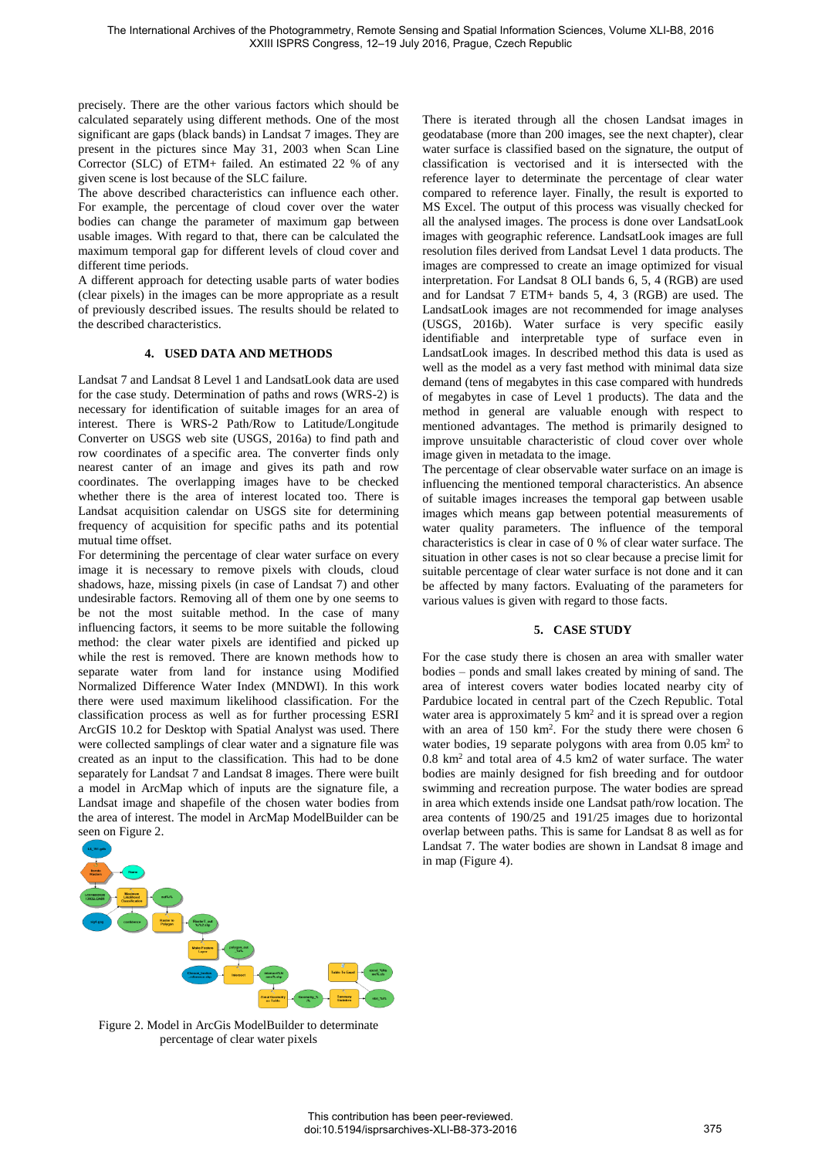precisely. There are the other various factors which should be calculated separately using different methods. One of the most significant are gaps (black bands) in Landsat 7 images. They are present in the pictures since May 31, 2003 when Scan Line Corrector (SLC) of ETM+ failed. An estimated 22 % of any given scene is lost because of the SLC failure.

The above described characteristics can influence each other. For example, the percentage of cloud cover over the water bodies can change the parameter of maximum gap between usable images. With regard to that, there can be calculated the maximum temporal gap for different levels of cloud cover and different time periods.

A different approach for detecting usable parts of water bodies (clear pixels) in the images can be more appropriate as a result of previously described issues. The results should be related to the described characteristics.

# **4. USED DATA AND METHODS**

Landsat 7 and Landsat 8 Level 1 and LandsatLook data are used for the case study. Determination of paths and rows (WRS-2) is necessary for identification of suitable images for an area of interest. There is WRS-2 Path/Row to Latitude/Longitude Converter on USGS web site (USGS, 2016a) to find path and row coordinates of a specific area. The converter finds only nearest canter of an image and gives its path and row coordinates. The overlapping images have to be checked whether there is the area of interest located too. There is Landsat acquisition calendar on USGS site for determining frequency of acquisition for specific paths and its potential mutual time offset.

For determining the percentage of clear water surface on every image it is necessary to remove pixels with clouds, cloud shadows, haze, missing pixels (in case of Landsat 7) and other undesirable factors. Removing all of them one by one seems to be not the most suitable method. In the case of many influencing factors, it seems to be more suitable the following method: the clear water pixels are identified and picked up while the rest is removed. There are known methods how to separate water from land for instance using Modified Normalized Difference Water Index (MNDWI). In this work there were used maximum likelihood classification. For the classification process as well as for further processing ESRI ArcGIS 10.2 for Desktop with Spatial Analyst was used. There were collected samplings of clear water and a signature file was created as an input to the classification. This had to be done separately for Landsat 7 and Landsat 8 images. There were built a model in ArcMap which of inputs are the signature file, a Landsat image and shapefile of the chosen water bodies from the area of interest. The model in ArcMap ModelBuilder can be seen on Figure 2.



Figure 2. Model in ArcGis ModelBuilder to determinate percentage of clear water pixels

There is iterated through all the chosen Landsat images in geodatabase (more than 200 images, see the next chapter), clear water surface is classified based on the signature, the output of classification is vectorised and it is intersected with the reference layer to determinate the percentage of clear water compared to reference layer. Finally, the result is exported to MS Excel. The output of this process was visually checked for all the analysed images. The process is done over LandsatLook images with geographic reference. LandsatLook images are full resolution files derived from Landsat Level 1 data products. The images are compressed to create an image optimized for visual interpretation. For Landsat 8 OLI bands 6, 5, 4 (RGB) are used and for Landsat 7 ETM+ bands 5, 4, 3 (RGB) are used. The LandsatLook images are not recommended for image analyses (USGS, 2016b). Water surface is very specific easily identifiable and interpretable type of surface even in LandsatLook images. In described method this data is used as well as the model as a very fast method with minimal data size demand (tens of megabytes in this case compared with hundreds of megabytes in case of Level 1 products). The data and the method in general are valuable enough with respect to mentioned advantages. The method is primarily designed to improve unsuitable characteristic of cloud cover over whole image given in metadata to the image.

The percentage of clear observable water surface on an image is influencing the mentioned temporal characteristics. An absence of suitable images increases the temporal gap between usable images which means gap between potential measurements of water quality parameters. The influence of the temporal characteristics is clear in case of 0 % of clear water surface. The situation in other cases is not so clear because a precise limit for suitable percentage of clear water surface is not done and it can be affected by many factors. Evaluating of the parameters for various values is given with regard to those facts.

### **5. CASE STUDY**

For the case study there is chosen an area with smaller water bodies – ponds and small lakes created by mining of sand. The area of interest covers water bodies located nearby city of Pardubice located in central part of the Czech Republic. Total water area is approximately  $5 \text{ km}^2$  and it is spread over a region with an area of 150 km<sup>2</sup> . For the study there were chosen 6 water bodies, 19 separate polygons with area from 0.05 km<sup>2</sup> to 0.8 km<sup>2</sup> and total area of 4.5 km2 of water surface. The water bodies are mainly designed for fish breeding and for outdoor swimming and recreation purpose. The water bodies are spread in area which extends inside one Landsat path/row location. The area contents of 190/25 and 191/25 images due to horizontal overlap between paths. This is same for Landsat 8 as well as for Landsat 7. The water bodies are shown in Landsat 8 image and in map (Figure 4).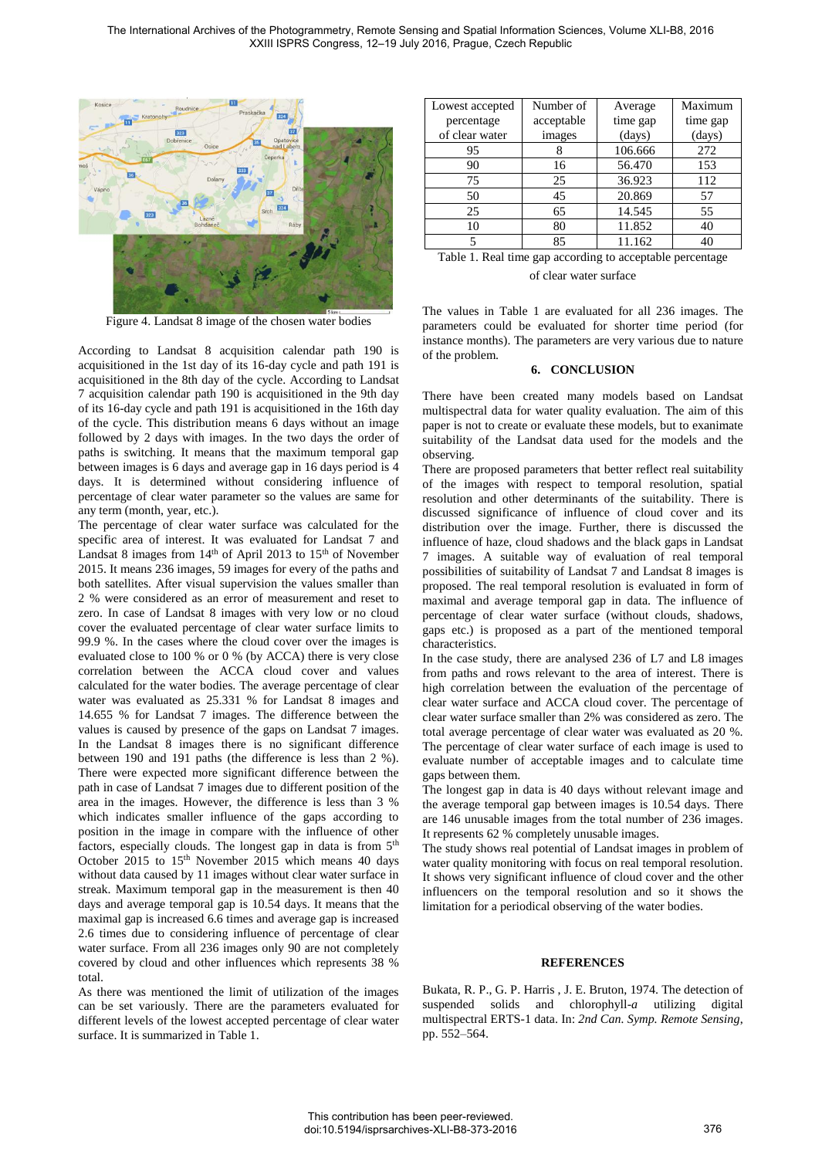

Figure 4. Landsat 8 image of the chosen water bodies

According to [Landsat 8 acquisition calendar](http://landsat.usgs.gov/tools_L8_acquisition_calendar.php) path 190 is acquisitioned in the 1st day of its 16-day cycle and path 191 is acquisitioned in the 8th day of the cycle. According to [Landsat](http://landsat.usgs.gov/tools_L8_acquisition_calendar.php)  [7 acquisition calendar](http://landsat.usgs.gov/tools_L8_acquisition_calendar.php) path 190 is acquisitioned in the 9th day of its 16-day cycle and path 191 is acquisitioned in the 16th day of the cycle. This distribution means 6 days without an image followed by 2 days with images. In the two days the order of paths is switching. It means that the maximum temporal gap between images is 6 days and average gap in 16 days period is 4 days. It is determined without considering influence of percentage of clear water parameter so the values are same for any term (month, year, etc.).

The percentage of clear water surface was calculated for the specific area of interest. It was evaluated for Landsat 7 and Landsat 8 images from  $14<sup>th</sup>$  of April 2013 to  $15<sup>th</sup>$  of November 2015. It means 236 images, 59 images for every of the paths and both satellites. After visual supervision the values smaller than 2 % were considered as an error of measurement and reset to zero. In case of Landsat 8 images with very low or no cloud cover the evaluated percentage of clear water surface limits to 99.9 %. In the cases where the cloud cover over the images is evaluated close to 100 % or 0 % (by ACCA) there is very close correlation between the ACCA cloud cover and values calculated for the water bodies. The average percentage of clear water was evaluated as 25.331 % for Landsat 8 images and 14.655 % for Landsat 7 images. The difference between the values is caused by presence of the gaps on Landsat 7 images. In the Landsat 8 images there is no significant difference between 190 and 191 paths (the difference is less than 2 %). There were expected more significant difference between the path in case of Landsat 7 images due to different position of the area in the images. However, the difference is less than 3 % which indicates smaller influence of the gaps according to position in the image in compare with the influence of other factors, especially clouds. The longest gap in data is from 5<sup>th</sup> October 2015 to 15<sup>th</sup> November 2015 which means 40 days without data caused by 11 images without clear water surface in streak. Maximum temporal gap in the measurement is then 40 days and average temporal gap is 10.54 days. It means that the maximal gap is increased 6.6 times and average gap is increased 2.6 times due to considering influence of percentage of clear water surface. From all 236 images only 90 are not completely covered by cloud and other influences which represents 38 % total.

As there was mentioned the limit of utilization of the images can be set variously. There are the parameters evaluated for different levels of the lowest accepted percentage of clear water surface. It is summarized in Table 1.

| Lowest accepted | Number of  | Average  | Maximum  |
|-----------------|------------|----------|----------|
| percentage      | acceptable | time gap | time gap |
| of clear water  | images     | (days)   | (days)   |
| 95              |            | 106.666  | 272      |
| 90              | 16         | 56.470   | 153      |
| 75              | 25         | 36.923   | 112      |
| 50              | 45         | 20.869   | 57       |
| 25              | 65         | 14.545   | 55       |
| 10              | 80         | 11.852   | 40       |
| 5               | 85         | 11.162   | 40       |

| Table 1. Real time gap according to acceptable percentage |  |
|-----------------------------------------------------------|--|
| of clear water surface                                    |  |

The values in Table 1 are evaluated for all 236 images. The parameters could be evaluated for shorter time period (for instance months). The parameters are very various due to nature of the problem.

#### **6. CONCLUSION**

There have been created many models based on Landsat multispectral data for water quality evaluation. The aim of this paper is not to create or evaluate these models, but to exanimate suitability of the Landsat data used for the models and the observing.

There are proposed parameters that better reflect real suitability of the images with respect to temporal resolution, spatial resolution and other determinants of the suitability. There is discussed significance of influence of cloud cover and its distribution over the image. Further, there is discussed the influence of haze, cloud shadows and the black gaps in Landsat 7 images. A suitable way of evaluation of real temporal possibilities of suitability of Landsat 7 and Landsat 8 images is proposed. The real temporal resolution is evaluated in form of maximal and average temporal gap in data. The influence of percentage of clear water surface (without clouds, shadows, gaps etc.) is proposed as a part of the mentioned temporal characteristics.

In the case study, there are analysed 236 of L7 and L8 images from paths and rows relevant to the area of interest. There is high correlation between the evaluation of the percentage of clear water surface and ACCA cloud cover. The percentage of clear water surface smaller than 2% was considered as zero. The total average percentage of clear water was evaluated as 20 %. The percentage of clear water surface of each image is used to evaluate number of acceptable images and to calculate time gaps between them.

The longest gap in data is 40 days without relevant image and the average temporal gap between images is 10.54 days. There are 146 unusable images from the total number of 236 images. It represents 62 % completely unusable images.

The study shows real potential of Landsat images in problem of water quality monitoring with focus on real temporal resolution. It shows very significant influence of cloud cover and the other influencers on the temporal resolution and so it shows the limitation for a periodical observing of the water bodies.

#### **REFERENCES**

Bukata, R. P., G. P. Harris , J. E. Bruton, 1974. The detection of suspended solids and chlorophyll-*a* utilizing digital multispectral ERTS-1 data. In: *2nd Can. Symp. Remote Sensing*, pp. 552–564.